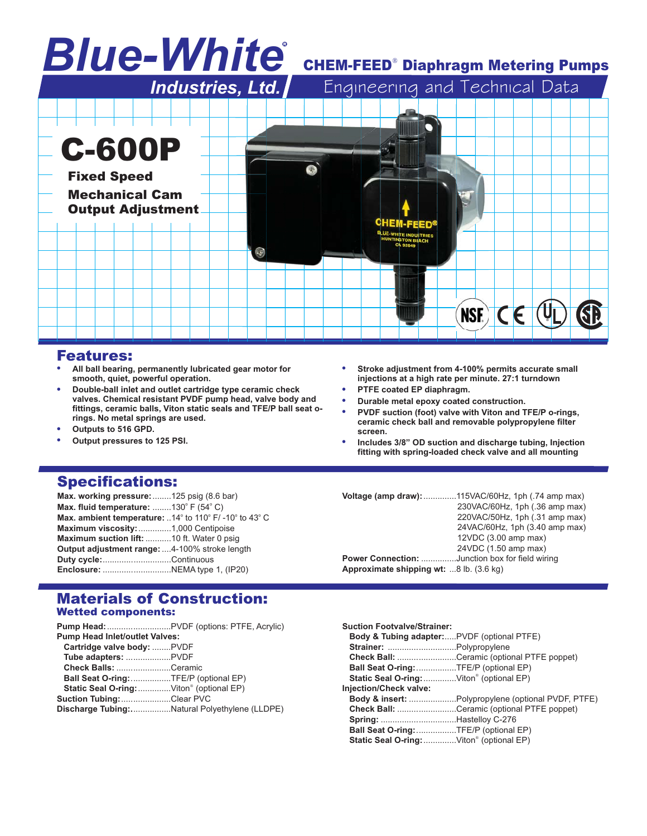# *Blue-White* R

# **CHEM-FEED<sup>®</sup> Diaphragm Metering Pumps**

|                                             | Industries, Ltd. |                                                                            | Engineering and Technical Data |
|---------------------------------------------|------------------|----------------------------------------------------------------------------|--------------------------------|
|                                             |                  |                                                                            |                                |
|                                             |                  |                                                                            |                                |
| <b>C-600P</b>                               |                  |                                                                            |                                |
| <b>Fixed Speed</b><br><b>Mechanical Cam</b> |                  |                                                                            |                                |
| <b>Output Adjustment</b>                    |                  | <b>CHEM-FEED®</b>                                                          |                                |
|                                             |                  | <b>BLUE-WHITE INDUSTRIES</b><br><b>HUNTINGTON BEACH</b><br><b>CA 92649</b> |                                |
|                                             |                  |                                                                            |                                |
|                                             |                  |                                                                            |                                |
|                                             |                  |                                                                            | <b>NSE)</b>                    |
|                                             |                  |                                                                            |                                |

# Features:

- . **All ball bearing, permanently lubricated gear motor for smooth, quiet, powerful operation.**
- **. Double-ball inlet and outlet cartridge type ceramic check valves. Chemical resistant PVDF pump head, valve body and fittings, ceramic balls, Viton static seals and TFE/P ball seat orings. No metal springs are used.**
- **. Outputs to 516 GPD.**
- **. Output pressures to 125 PSI.**
- . **Stroke adjustment from 4-100% permits accurate small injections at a high rate per minute. 27:1 turndown**
- **. PTFE coated EP diaphragm.**
- **. Durable metal epoxy coated construction.**
- **. PVDF suction (foot) valve with Viton and TFE/P o-rings, ceramic check ball and removable polypropylene filter screen.**
- ! **Includes 3/8" OD suction and discharge tubing, Injection fitting with spring-loaded check valve and all mounting**

# Specifications:

| Max. working pressure: 125 psig (8.6 bar)                       |  |
|-----------------------------------------------------------------|--|
| Max. fluid temperature: 130° F $(54^{\circ}$ C)                 |  |
| Max. ambient temperature: $.14^{\circ}$ to 110° F/-10° to 43° C |  |
| Maximum viscosity: 1,000 Centipoise                             |  |
| Maximum suction lift: 10 ft. Water 0 psig                       |  |
| Output adjustment range: 4-100% stroke length                   |  |
| Duty cycle:Continuous                                           |  |
|                                                                 |  |

**Voltage (amp draw):**..............115VAC/60Hz, 1ph (.74 amp max) 230VAC/60Hz, 1ph (.36 amp max) 220VAC/50Hz, 1ph (.31 amp max) 24VAC/60Hz, 1ph (3.40 amp max) 12VDC (3.00 amp max) 24VDC (1.50 amp max) **Power Connection:** ...............Junction box for field wiring **Approximate shipping wt:** ...8 lb. (3.6 kg)

#### Materials of Construction: Wetted components:

| <b>Pump Head Inlet/outlet Valves:</b><br>Cartridge valve body: PVDF<br>Check Balls: Ceramic<br>Ball Seat O-ring: TFE/P (optional EP)<br>Static Seal O-ring: Viton® (optional EP)<br><b>Suction Tubing:Clear PVC</b><br>Discharge Tubing:Natural Polyethylene (LLDPE) | <b>Pump Head:</b> PVDF (options: PTFE, Acrylic) |
|----------------------------------------------------------------------------------------------------------------------------------------------------------------------------------------------------------------------------------------------------------------------|-------------------------------------------------|
|                                                                                                                                                                                                                                                                      |                                                 |
|                                                                                                                                                                                                                                                                      |                                                 |
|                                                                                                                                                                                                                                                                      |                                                 |
|                                                                                                                                                                                                                                                                      |                                                 |
|                                                                                                                                                                                                                                                                      |                                                 |
|                                                                                                                                                                                                                                                                      |                                                 |
|                                                                                                                                                                                                                                                                      |                                                 |
|                                                                                                                                                                                                                                                                      |                                                 |

| <b>Suction Footvalve/Strainer:</b>                    |                                                    |
|-------------------------------------------------------|----------------------------------------------------|
| <b>Body &amp; Tubing adapter:PVDF (optional PTFE)</b> |                                                    |
|                                                       |                                                    |
|                                                       | Check Ball: Ceramic (optional PTFE poppet)         |
| Ball Seat O-ring:TFE/P (optional EP)                  |                                                    |
| Static Seal O-ring:  Viton® (optional EP)             |                                                    |
| Injection/Check valve:                                |                                                    |
|                                                       | Body & insert: Polypropylene (optional PVDF, PTFE) |
|                                                       | <b>Check Ball:</b> Ceramic (optional PTFE poppet)  |
|                                                       |                                                    |
| Ball Seat O-ring: TFE/P (optional EP)                 |                                                    |
| Static Seal O-ring: Viton® (optional EP)              |                                                    |
|                                                       |                                                    |